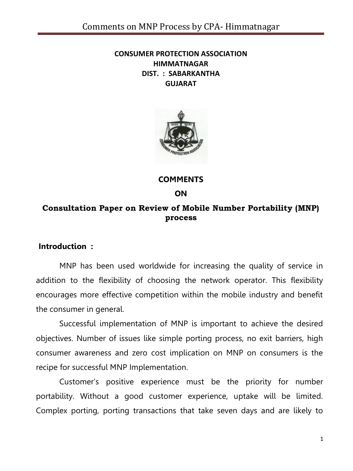#### **CONSUMER PROTECTION ASSOCIATION HIMMATNAGAR DIST. : SABARKANTHA GUJARAT**



**COMMENTS**

**ON**

### **Consultation Paper on Review of Mobile Number Portability (MNP) process**

#### **Introduction :**

MNP has been used worldwide for increasing the quality of service in addition to the flexibility of choosing the network operator. This flexibility encourages more effective competition within the mobile industry and benefit the consumer in general.

Successful implementation of MNP is important to achieve the desired objectives. Number of issues like simple porting process, no exit barriers, high consumer awareness and zero cost implication on MNP on consumers is the recipe for successful MNP Implementation.

Customer's positive experience must be the priority for number portability. Without a good customer experience, uptake will be limited. Complex porting, porting transactions that take seven days and are likely to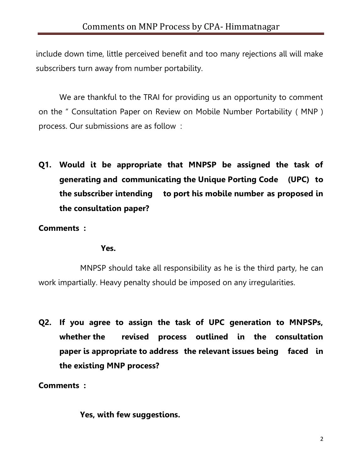include down time, little perceived benefit and too many rejections all will make subscribers turn away from number portability.

We are thankful to the TRAI for providing us an opportunity to comment on the " Consultation Paper on Review on Mobile Number Portability ( MNP ) process. Our submissions are as follow :

**Q1. Would it be appropriate that MNPSP be assigned the task of generating and communicating the Unique Porting Code (UPC) to the subscriber intending to port his mobile number as proposed in the consultation paper?** 

**Comments :**

#### **Yes.**

MNPSP should take all responsibility as he is the third party, he can work impartially. Heavy penalty should be imposed on any irregularities.

**Q2. If you agree to assign the task of UPC generation to MNPSPs, whether the revised process outlined in the consultation paper is appropriate to address the relevant issues being faced in the existing MNP process?** 

**Comments :**

**Yes, with few suggestions.**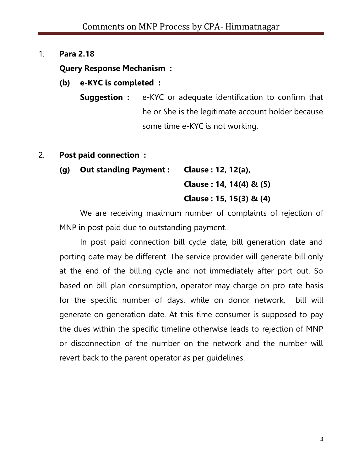### 1. **Para 2.18**

## **Query Response Mechanism :**

- **(b) e-KYC is completed :**
	- **Suggestion :** e-KYC or adequate identification to confirm that he or She is the legitimate account holder because some time e-KYC is not working.
- 2. **Post paid connection :**
	- **(g) Out standing Payment : Clause : 12, 12(a), Clause : 14, 14(4) & (5) Clause : 15, 15(3) & (4)**

We are receiving maximum number of complaints of rejection of MNP in post paid due to outstanding payment.

In post paid connection bill cycle date, bill generation date and porting date may be different. The service provider will generate bill only at the end of the billing cycle and not immediately after port out. So based on bill plan consumption, operator may charge on pro-rate basis for the specific number of days, while on donor network, bill will generate on generation date. At this time consumer is supposed to pay the dues within the specific timeline otherwise leads to rejection of MNP or disconnection of the number on the network and the number will revert back to the parent operator as per guidelines.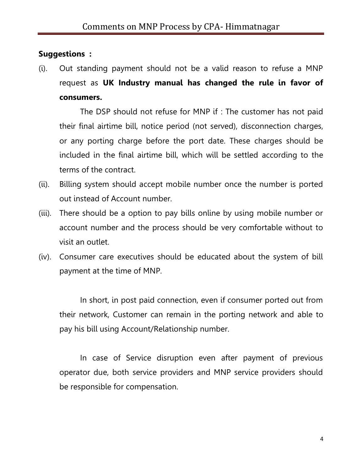## **Suggestions :**

(i). Out standing payment should not be a valid reason to refuse a MNP request as **UK Industry manual has changed the rule in favor of consumers.**

The DSP should not refuse for MNP if : The customer has not paid their final airtime bill, notice period (not served), disconnection charges, or any porting charge before the port date. These charges should be included in the final airtime bill, which will be settled according to the terms of the contract.

- (ii). Billing system should accept mobile number once the number is ported out instead of Account number.
- (iii). There should be a option to pay bills online by using mobile number or account number and the process should be very comfortable without to visit an outlet.
- (iv). Consumer care executives should be educated about the system of bill payment at the time of MNP.

In short, in post paid connection, even if consumer ported out from their network, Customer can remain in the porting network and able to pay his bill using Account/Relationship number.

In case of Service disruption even after payment of previous operator due, both service providers and MNP service providers should be responsible for compensation.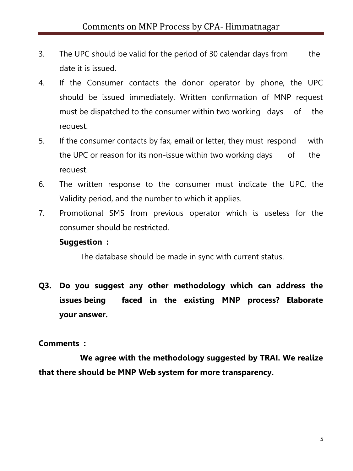- 3. The UPC should be valid for the period of 30 calendar days from the date it is issued.
- 4. If the Consumer contacts the donor operator by phone, the UPC should be issued immediately. Written confirmation of MNP request must be dispatched to the consumer within two working days of the request.
- 5. If the consumer contacts by fax, email or letter, they must respond with the UPC or reason for its non-issue within two working days of the request.
- 6. The written response to the consumer must indicate the UPC, the Validity period, and the number to which it applies.
- 7. Promotional SMS from previous operator which is useless for the consumer should be restricted.

#### **Suggestion :**

The database should be made in sync with current status.

**Q3. Do you suggest any other methodology which can address the issues being faced in the existing MNP process? Elaborate your answer.** 

#### **Comments :**

**We agree with the methodology suggested by TRAI. We realize that there should be MNP Web system for more transparency.**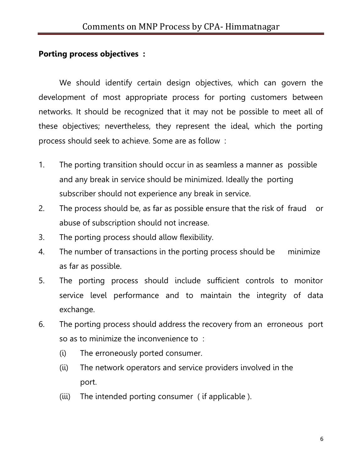### **Porting process objectives :**

We should identify certain design objectives, which can govern the development of most appropriate process for porting customers between networks. It should be recognized that it may not be possible to meet all of these objectives; nevertheless, they represent the ideal, which the porting process should seek to achieve. Some are as follow :

- 1. The porting transition should occur in as seamless a manner as possible and any break in service should be minimized. Ideally the porting subscriber should not experience any break in service.
- 2. The process should be, as far as possible ensure that the risk of fraud or abuse of subscription should not increase.
- 3. The porting process should allow flexibility.
- 4. The number of transactions in the porting process should be minimize as far as possible.
- 5. The porting process should include sufficient controls to monitor service level performance and to maintain the integrity of data exchange.
- 6. The porting process should address the recovery from an erroneous port so as to minimize the inconvenience to :
	- (i) The erroneously ported consumer.
	- (ii) The network operators and service providers involved in the port.
	- (iii) The intended porting consumer ( if applicable ).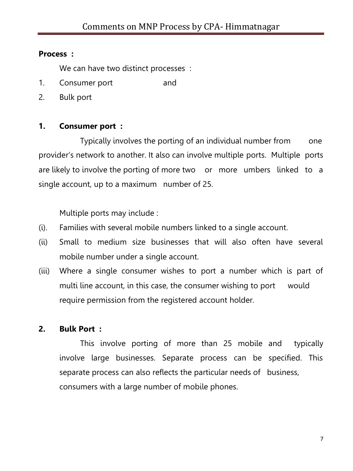### **Process :**

We can have two distinct processes :

- 1. Consumer port and
- 2. Bulk port

## **1. Consumer port :**

Typically involves the porting of an individual number from one provider's network to another. It also can involve multiple ports. Multiple ports are likely to involve the porting of more two or more umbers linked to a single account, up to a maximum number of 25.

Multiple ports may include :

- (i). Families with several mobile numbers linked to a single account.
- (ii) Small to medium size businesses that will also often have several mobile number under a single account.
- (iii) Where a single consumer wishes to port a number which is part of multi line account, in this case, the consumer wishing to port would require permission from the registered account holder.

## **2. Bulk Port :**

This involve porting of more than 25 mobile and typically involve large businesses. Separate process can be specified. This separate process can also reflects the particular needs of business, consumers with a large number of mobile phones.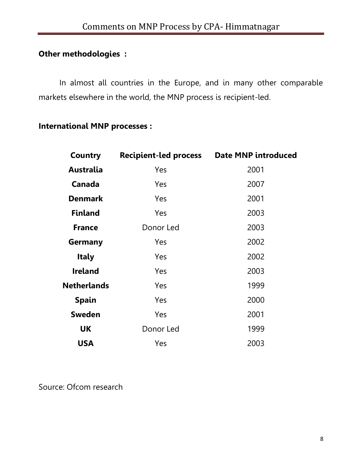## **Other methodologies :**

In almost all countries in the Europe, and in many other comparable markets elsewhere in the world, the MNP process is recipient-led.

## **International MNP processes :**

| <b>Country</b>     | <b>Recipient-led process</b> | <b>Date MNP introduced</b> |
|--------------------|------------------------------|----------------------------|
| <b>Australia</b>   | Yes                          | 2001                       |
| Canada             | Yes                          | 2007                       |
| <b>Denmark</b>     | Yes                          | 2001                       |
| <b>Finland</b>     | Yes                          | 2003                       |
| <b>France</b>      | Donor Led                    | 2003                       |
| Germany            | Yes                          | 2002                       |
| <b>Italy</b>       | Yes                          | 2002                       |
| <b>Ireland</b>     | Yes                          | 2003                       |
| <b>Netherlands</b> | Yes                          | 1999                       |
| <b>Spain</b>       | Yes                          | 2000                       |
| <b>Sweden</b>      | Yes                          | 2001                       |
| <b>UK</b>          | Donor Led                    | 1999                       |
| <b>USA</b>         | Yes                          | 2003                       |

Source: Ofcom research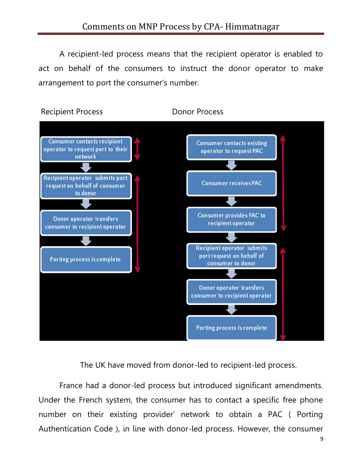A recipient-led process means that the recipient operator is enabled to act on behalf of the consumers to instruct the donor operator to make arrangement to port the consumer's number.



The UK have moved from donor-led to recipient-led process.

France had a donor-led process but introduced significant amendments. Under the French system, the consumer has to contact a specific free phone number on their existing provider' network to obtain a PAC ( Porting Authentication Code ), in line with donor-led process. However, the consumer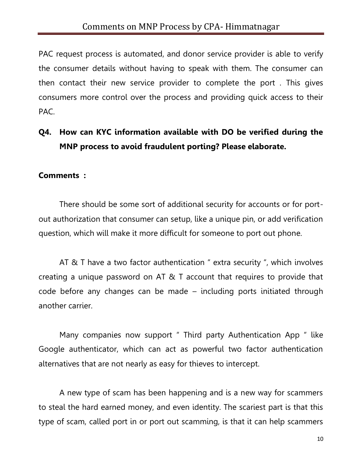PAC request process is automated, and donor service provider is able to verify the consumer details without having to speak with them. The consumer can then contact their new service provider to complete the port . This gives consumers more control over the process and providing quick access to their PAC.

## **Q4. How can KYC information available with DO be verified during the MNP process to avoid fraudulent porting? Please elaborate.**

#### **Comments :**

There should be some sort of additional security for accounts or for portout authorization that consumer can setup, like a unique pin, or add verification question, which will make it more difficult for someone to port out phone.

AT & T have a two factor authentication " extra security ", which involves creating a unique password on AT & T account that requires to provide that code before any changes can be made – including ports initiated through another carrier.

Many companies now support " Third party Authentication App " like Google authenticator, which can act as powerful two factor authentication alternatives that are not nearly as easy for thieves to intercept.

A new type of scam has been happening and is a new way for scammers to steal the hard earned money, and even identity. The scariest part is that this type of scam, called port in or port out scamming, is that it can help scammers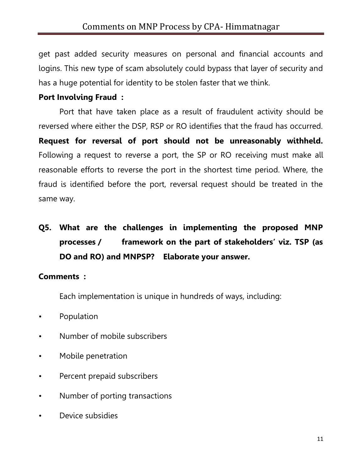get past added security measures on personal and financial accounts and logins. This new type of scam absolutely could bypass that layer of security and has a huge potential for identity to be stolen faster that we think.

## **Port Involving Fraud :**

Port that have taken place as a result of fraudulent activity should be reversed where either the DSP, RSP or RO identifies that the fraud has occurred. **Request for reversal of port should not be unreasonably withheld.** Following a request to reverse a port, the SP or RO receiving must make all reasonable efforts to reverse the port in the shortest time period. Where, the fraud is identified before the port, reversal request should be treated in the same way.

# **Q5. What are the challenges in implementing the proposed MNP processes / framework on the part of stakeholders' viz. TSP (as DO and RO) and MNPSP? Elaborate your answer.**

#### **Comments :**

Each implementation is unique in hundreds of ways, including:

- Population
- Number of mobile subscribers
- Mobile penetration
- Percent prepaid subscribers
- Number of porting transactions
- Device subsidies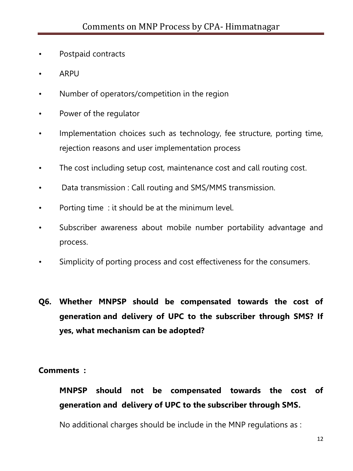- Postpaid contracts
- ARPU
- Number of operators/competition in the region
- Power of the regulator
- Implementation choices such as technology, fee structure, porting time, rejection reasons and user implementation process
- The cost including setup cost, maintenance cost and call routing cost.
- Data transmission : Call routing and SMS/MMS transmission.
- Porting time : it should be at the minimum level.
- Subscriber awareness about mobile number portability advantage and process.
- Simplicity of porting process and cost effectiveness for the consumers.
- **Q6. Whether MNPSP should be compensated towards the cost of generation and delivery of UPC to the subscriber through SMS? If yes, what mechanism can be adopted?**

#### **Comments :**

## **MNPSP should not be compensated towards the cost of generation and delivery of UPC to the subscriber through SMS.**

No additional charges should be include in the MNP regulations as :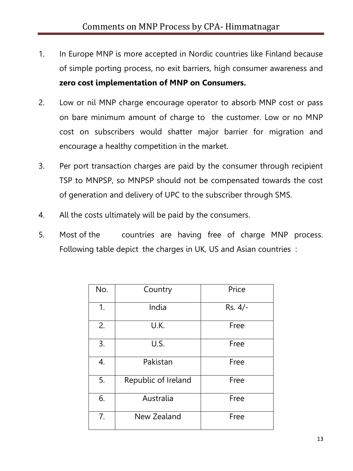- 1. In Europe MNP is more accepted in Nordic countries like Finland because of simple porting process, no exit barriers, high consumer awareness and **zero cost implementation of MNP on Consumers.**
- 2. Low or nil MNP charge encourage operator to absorb MNP cost or pass on bare minimum amount of charge to the customer. Low or no MNP cost on subscribers would shatter major barrier for migration and encourage a healthy competition in the market.
- 3. Per port transaction charges are paid by the consumer through recipient TSP to MNPSP, so MNPSP should not be compensated towards the cost of generation and delivery of UPC to the subscriber through SMS.
- 4. All the costs ultimately will be paid by the consumers.
- 5. Most of the countries are having free of charge MNP process. Following table depict the charges in UK, US and Asian countries :

| No. | Country             | Price   |
|-----|---------------------|---------|
| 1.  | India               | Rs. 4/- |
| 2.  | U.K.                | Free    |
| 3.  | U.S.                | Free    |
| 4.  | Pakistan            | Free    |
| 5.  | Republic of Ireland | Free    |
| 6.  | Australia           | Free    |
| 7.  | New Zealand         | Free    |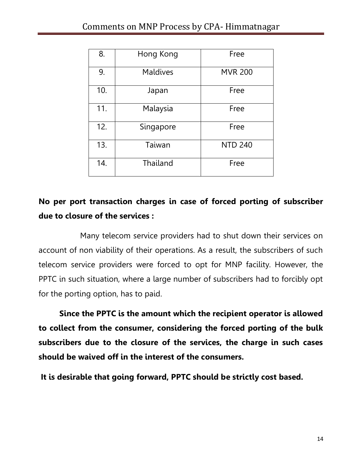| 8.  | Hong Kong       | Free           |
|-----|-----------------|----------------|
| 9.  | <b>Maldives</b> | <b>MVR 200</b> |
| 10. | Japan           | Free           |
| 11. | Malaysia        | Free           |
| 12. | Singapore       | Free           |
| 13. | Taiwan          | <b>NTD 240</b> |
| 14. | Thailand        | Free           |

## **No per port transaction charges in case of forced porting of subscriber due to closure of the services :**

Many telecom service providers had to shut down their services on account of non viability of their operations. As a result, the subscribers of such telecom service providers were forced to opt for MNP facility. However, the PPTC in such situation, where a large number of subscribers had to forcibly opt for the porting option, has to paid.

**Since the PPTC is the amount which the recipient operator is allowed to collect from the consumer, considering the forced porting of the bulk subscribers due to the closure of the services, the charge in such cases should be waived off in the interest of the consumers.** 

**It is desirable that going forward, PPTC should be strictly cost based.**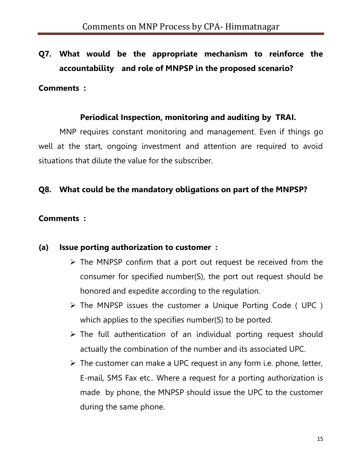## **Q7. What would be the appropriate mechanism to reinforce the accountability and role of MNPSP in the proposed scenario?**

#### **Comments :**

### **Periodical Inspection, monitoring and auditing by TRAI.**

MNP requires constant monitoring and management. Even if things go well at the start, ongoing investment and attention are required to avoid situations that dilute the value for the subscriber.

## **Q8. What could be the mandatory obligations on part of the MNPSP?**

### **Comments :**

## **(a) Issue porting authorization to customer :**

- $\triangleright$  The MNPSP confirm that a port out request be received from the consumer for specified number(S), the port out request should be honored and expedite according to the regulation.
- $\triangleright$  The MNPSP issues the customer a Unique Porting Code (UPC) which applies to the specifies number(S) to be ported.
- $\triangleright$  The full authentication of an individual porting request should actually the combination of the number and its associated UPC.
- $\triangleright$  The customer can make a UPC request in any form i.e. phone, letter, E-mail, SMS Fax etc.. Where a request for a porting authorization is made by phone, the MNPSP should issue the UPC to the customer during the same phone.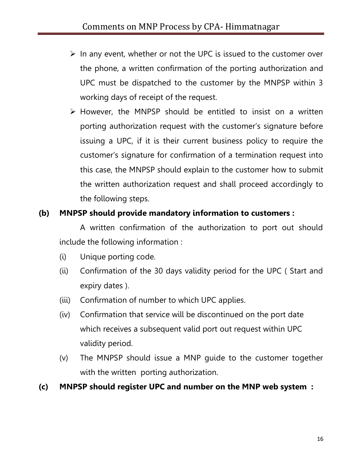- $\triangleright$  In any event, whether or not the UPC is issued to the customer over the phone, a written confirmation of the porting authorization and UPC must be dispatched to the customer by the MNPSP within 3 working days of receipt of the request.
- $\triangleright$  However, the MNPSP should be entitled to insist on a written porting authorization request with the customer's signature before issuing a UPC, if it is their current business policy to require the customer's signature for confirmation of a termination request into this case, the MNPSP should explain to the customer how to submit the written authorization request and shall proceed accordingly to the following steps.

## **(b) MNPSP should provide mandatory information to customers :**

A written confirmation of the authorization to port out should include the following information :

- (i) Unique porting code.
- (ii) Confirmation of the 30 days validity period for the UPC ( Start and expiry dates ).
- (iii) Confirmation of number to which UPC applies.
- (iv) Confirmation that service will be discontinued on the port date which receives a subsequent valid port out request within UPC validity period.
- (v) The MNPSP should issue a MNP guide to the customer together with the written porting authorization.

## **(c) MNPSP should register UPC and number on the MNP web system :**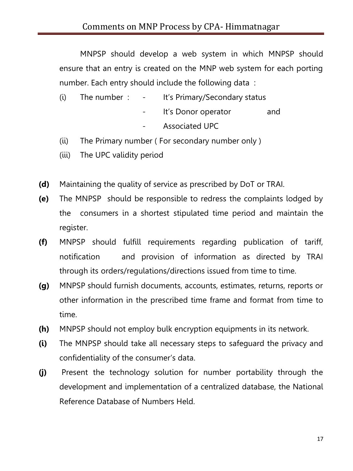MNPSP should develop a web system in which MNPSP should ensure that an entry is created on the MNP web system for each porting number. Each entry should include the following data :

- (i) The number :  $-$  It's Primary/Secondary status
	- It's Donor operator and
	- Associated UPC
- (ii) The Primary number ( For secondary number only )
- (iii) The UPC validity period
- **(d)** Maintaining the quality of service as prescribed by DoT or TRAI.
- **(e)** The MNPSP should be responsible to redress the complaints lodged by the consumers in a shortest stipulated time period and maintain the register.
- **(f)** MNPSP should fulfill requirements regarding publication of tariff, notification and provision of information as directed by TRAI through its orders/regulations/directions issued from time to time.
- **(g)** MNPSP should furnish documents, accounts, estimates, returns, reports or other information in the prescribed time frame and format from time to time.
- **(h)** MNPSP should not employ bulk encryption equipments in its network.
- **(i)** The MNPSP should take all necessary steps to safeguard the privacy and confidentiality of the consumer's data.
- **(j)** Present the technology solution for number portability through the development and implementation of a centralized database, the National Reference Database of Numbers Held.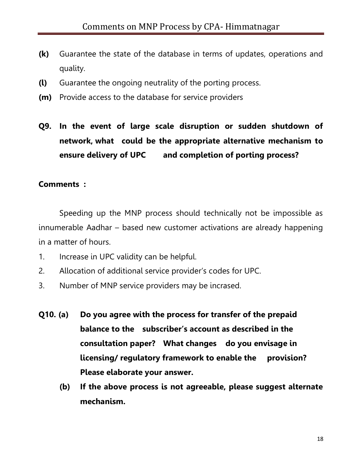- **(k)** Guarantee the state of the database in terms of updates, operations and quality.
- **(l)** Guarantee the ongoing neutrality of the porting process.
- **(m)** Provide access to the database for service providers
- **Q9. In the event of large scale disruption or sudden shutdown of network, what could be the appropriate alternative mechanism to ensure delivery of UPC and completion of porting process?**

#### **Comments :**

Speeding up the MNP process should technically not be impossible as innumerable Aadhar – based new customer activations are already happening in a matter of hours.

- 1. Increase in UPC validity can be helpful.
- 2. Allocation of additional service provider's codes for UPC.
- 3. Number of MNP service providers may be incrased.
- **Q10. (a) Do you agree with the process for transfer of the prepaid balance to the subscriber's account as described in the consultation paper? What changes do you envisage in licensing/ regulatory framework to enable the provision? Please elaborate your answer.** 
	- **(b) If the above process is not agreeable, please suggest alternate mechanism.**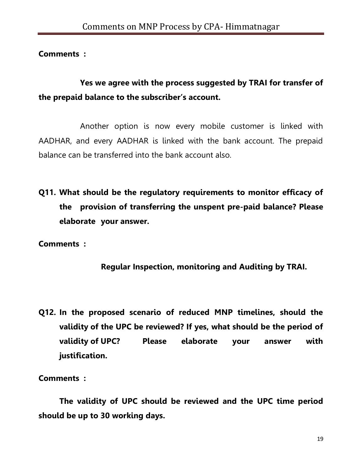**Comments :**

**Yes we agree with the process suggested by TRAI for transfer of the prepaid balance to the subscriber's account.**

Another option is now every mobile customer is linked with AADHAR, and every AADHAR is linked with the bank account. The prepaid balance can be transferred into the bank account also.

**Q11. What should be the regulatory requirements to monitor efficacy of the provision of transferring the unspent pre-paid balance? Please elaborate your answer.**

**Comments :**

**Regular Inspection, monitoring and Auditing by TRAI.**

**Q12. In the proposed scenario of reduced MNP timelines, should the validity of the UPC be reviewed? If yes, what should be the period of validity of UPC? Please elaborate your answer with justification.**

**Comments :**

**The validity of UPC should be reviewed and the UPC time period should be up to 30 working days.**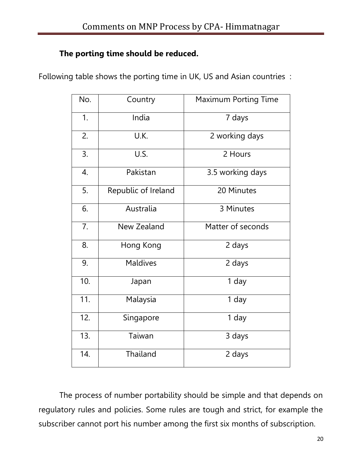## **The porting time should be reduced.**

Following table shows the porting time in UK, US and Asian countries :

| No. | Country             | <b>Maximum Porting Time</b> |
|-----|---------------------|-----------------------------|
| 1.  | India               | 7 days                      |
| 2.  | U.K.                | 2 working days              |
| 3.  | U.S.                | 2 Hours                     |
| 4.  | Pakistan            | 3.5 working days            |
| 5.  | Republic of Ireland | 20 Minutes                  |
| 6.  | Australia           | 3 Minutes                   |
| 7.  | New Zealand         | Matter of seconds           |
| 8.  | Hong Kong           | 2 days                      |
| 9.  | <b>Maldives</b>     | 2 days                      |
| 10. | Japan               | 1 day                       |
| 11. | Malaysia            | 1 day                       |
| 12. | Singapore           | 1 day                       |
| 13. | Taiwan              | 3 days                      |
| 14. | Thailand            | 2 days                      |

The process of number portability should be simple and that depends on regulatory rules and policies. Some rules are tough and strict, for example the subscriber cannot port his number among the first six months of subscription.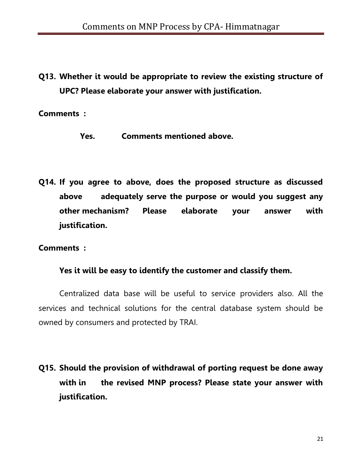**Q13. Whether it would be appropriate to review the existing structure of UPC? Please elaborate your answer with justification.** 

**Comments :**

- **Yes. Comments mentioned above.**
- **Q14. If you agree to above, does the proposed structure as discussed above adequately serve the purpose or would you suggest any other mechanism? Please elaborate your answer with justification.**

**Comments :**

#### **Yes it will be easy to identify the customer and classify them.**

Centralized data base will be useful to service providers also. All the services and technical solutions for the central database system should be owned by consumers and protected by TRAI.

**Q15. Should the provision of withdrawal of porting request be done away with in the revised MNP process? Please state your answer with justification.**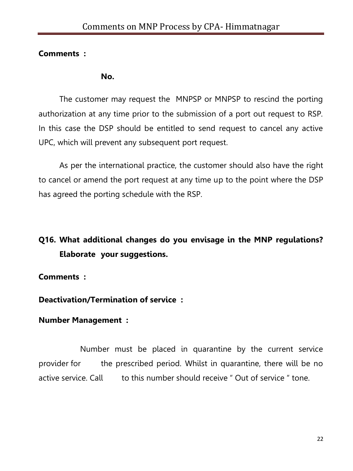## **Comments :**

#### **No.**

The customer may request the MNPSP or MNPSP to rescind the porting authorization at any time prior to the submission of a port out request to RSP. In this case the DSP should be entitled to send request to cancel any active UPC, which will prevent any subsequent port request.

As per the international practice, the customer should also have the right to cancel or amend the port request at any time up to the point where the DSP has agreed the porting schedule with the RSP.

# **Q16. What additional changes do you envisage in the MNP regulations? Elaborate your suggestions.**

**Comments :**

**Deactivation/Termination of service :**

## **Number Management :**

Number must be placed in quarantine by the current service provider for the prescribed period. Whilst in quarantine, there will be no active service. Call to this number should receive " Out of service " tone.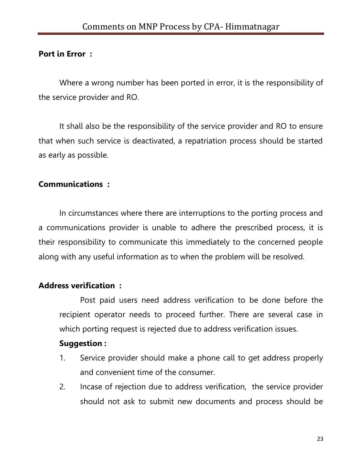**Port in Error :**

Where a wrong number has been ported in error, it is the responsibility of the service provider and RO.

It shall also be the responsibility of the service provider and RO to ensure that when such service is deactivated, a repatriation process should be started as early as possible.

### **Communications :**

In circumstances where there are interruptions to the porting process and a communications provider is unable to adhere the prescribed process, it is their responsibility to communicate this immediately to the concerned people along with any useful information as to when the problem will be resolved.

## **Address verification :**

Post paid users need address verification to be done before the recipient operator needs to proceed further. There are several case in which porting request is rejected due to address verification issues.

## **Suggestion :**

- 1. Service provider should make a phone call to get address properly and convenient time of the consumer.
- 2. Incase of rejection due to address verification, the service provider should not ask to submit new documents and process should be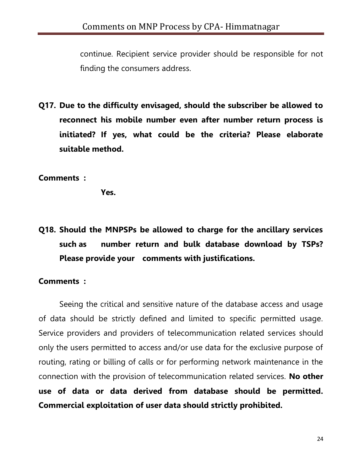continue. Recipient service provider should be responsible for not finding the consumers address.

**Q17. Due to the difficulty envisaged, should the subscriber be allowed to reconnect his mobile number even after number return process is initiated? If yes, what could be the criteria? Please elaborate suitable method.** 

#### **Comments :**

**Yes.**

**Q18. Should the MNPSPs be allowed to charge for the ancillary services such as number return and bulk database download by TSPs? Please provide your comments with justifications.** 

#### **Comments :**

Seeing the critical and sensitive nature of the database access and usage of data should be strictly defined and limited to specific permitted usage. Service providers and providers of telecommunication related services should only the users permitted to access and/or use data for the exclusive purpose of routing, rating or billing of calls or for performing network maintenance in the connection with the provision of telecommunication related services. **No other use of data or data derived from database should be permitted. Commercial exploitation of user data should strictly prohibited.**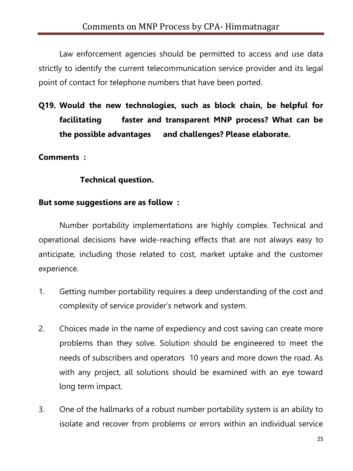Law enforcement agencies should be permitted to access and use data strictly to identify the current telecommunication service provider and its legal point of contact for telephone numbers that have been ported.

**Q19. Would the new technologies, such as block chain, be helpful for facilitating faster and transparent MNP process? What can be the possible advantages and challenges? Please elaborate.** 

### **Comments :**

### **Technical question.**

#### **But some suggestions are as follow :**

Number portability implementations are highly complex. Technical and operational decisions have wide-reaching effects that are not always easy to anticipate, including those related to cost, market uptake and the customer experience.

- 1. Getting number portability requires a deep understanding of the cost and complexity of service provider's network and system.
- 2. Choices made in the name of expediency and cost saving can create more problems than they solve. Solution should be engineered to meet the needs of subscribers and operators 10 years and more down the road. As with any project, all solutions should be examined with an eye toward long term impact.
- 3. One of the hallmarks of a robust number portability system is an ability to isolate and recover from problems or errors within an individual service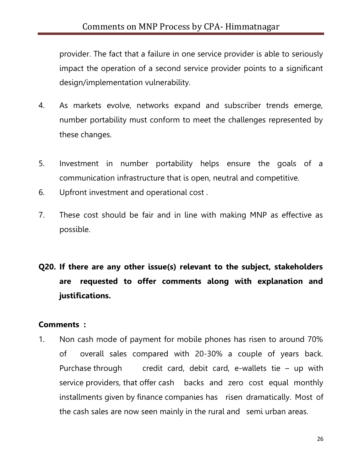provider. The fact that a failure in one service provider is able to seriously impact the operation of a second service provider points to a significant design/implementation vulnerability.

- 4. As markets evolve, networks expand and subscriber trends emerge, number portability must conform to meet the challenges represented by these changes.
- 5. Investment in number portability helps ensure the goals of a communication infrastructure that is open, neutral and competitive.
- 6. Upfront investment and operational cost .
- 7. These cost should be fair and in line with making MNP as effective as possible.

# **Q20. If there are any other issue(s) relevant to the subject, stakeholders are requested to offer comments along with explanation and justifications.**

#### **Comments :**

1. Non cash mode of payment for mobile phones has risen to around 70% of overall sales compared with 20-30% a couple of years back. Purchase through credit card, debit card, e-wallets tie  $-$  up with service providers, that offer cash backs and zero cost equal monthly installments given by finance companies has risen dramatically. Most of the cash sales are now seen mainly in the rural and semi urban areas.